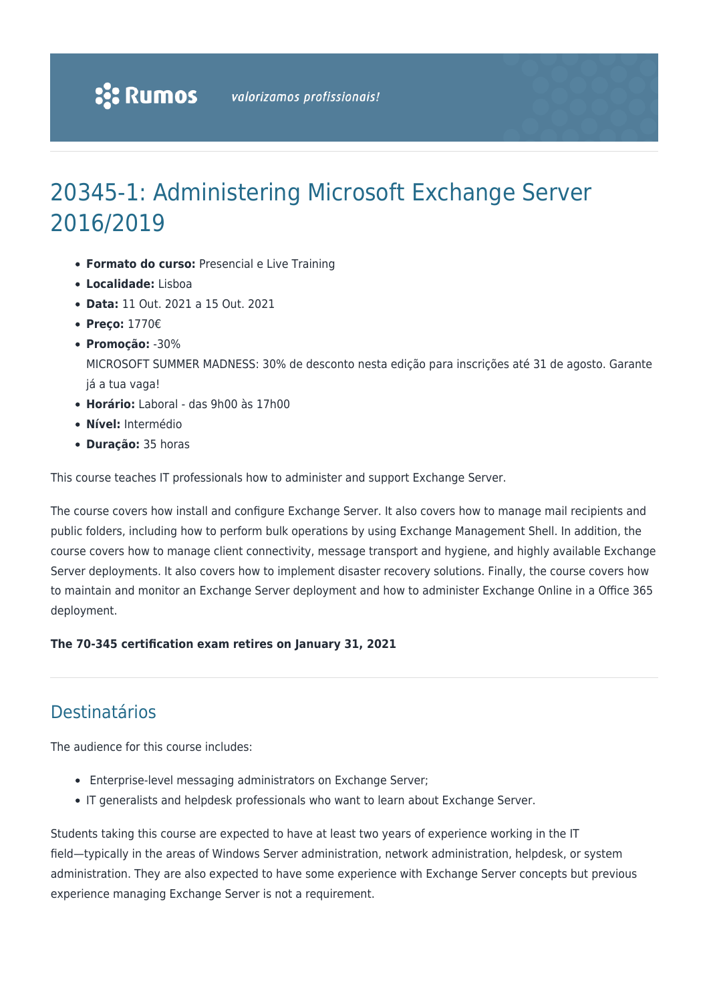# 20345-1: Administering Microsoft Exchange Server 2016/2019

- **Formato do curso:** Presencial e Live Training
- **Localidade:** Lisboa
- **Data:** 11 Out. 2021 a 15 Out. 2021
- **Preço:** 1770€
- **Promoção:** -30%

MICROSOFT SUMMER MADNESS: 30% de desconto nesta edição para inscrições até 31 de agosto. Garante já a tua vaga!

- **Horário:** Laboral das 9h00 às 17h00
- **Nível:** Intermédio
- **Duração:** 35 horas

This course teaches IT professionals how to administer and support Exchange Server.

The course covers how install and configure Exchange Server. It also covers how to manage mail recipients and public folders, including how to perform bulk operations by using Exchange Management Shell. In addition, the course covers how to manage client connectivity, message transport and hygiene, and highly available Exchange Server deployments. It also covers how to implement disaster recovery solutions. Finally, the course covers how to maintain and monitor an Exchange Server deployment and how to administer Exchange Online in a Office 365 deployment.

## **The 70-345 certification exam retires on January 31, 2021**

# Destinatários

The audience for this course includes:

- Enterprise-level messaging administrators on Exchange Server;
- IT generalists and helpdesk professionals who want to learn about Exchange Server.

Students taking this course are expected to have at least two years of experience working in the IT field—typically in the areas of Windows Server administration, network administration, helpdesk, or system administration. They are also expected to have some experience with Exchange Server concepts but previous experience managing Exchange Server is not a requirement.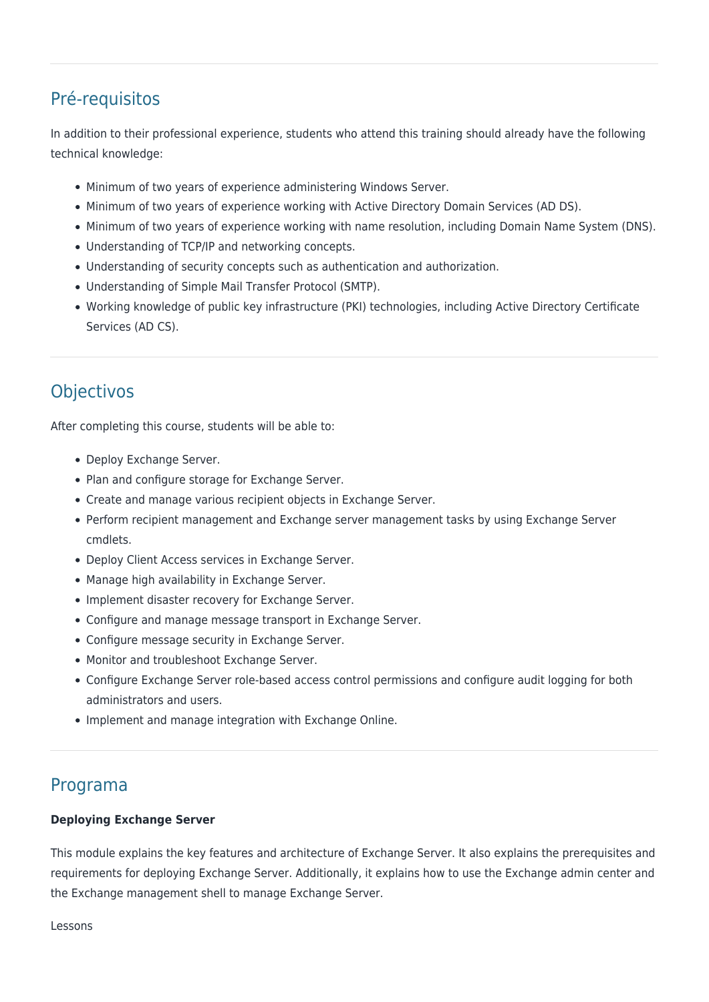# Pré-requisitos

In addition to their professional experience, students who attend this training should already have the following technical knowledge:

- Minimum of two years of experience administering Windows Server.
- Minimum of two years of experience working with Active Directory Domain Services (AD DS).
- Minimum of two years of experience working with name resolution, including Domain Name System (DNS).
- Understanding of TCP/IP and networking concepts.
- Understanding of security concepts such as authentication and authorization.
- Understanding of Simple Mail Transfer Protocol (SMTP).
- Working knowledge of public key infrastructure (PKI) technologies, including Active Directory Certificate Services (AD CS).

# **Objectivos**

After completing this course, students will be able to:

- Deploy Exchange Server.
- Plan and configure storage for Exchange Server.
- Create and manage various recipient objects in Exchange Server.
- Perform recipient management and Exchange server management tasks by using Exchange Server cmdlets.
- Deploy Client Access services in Exchange Server.
- Manage high availability in Exchange Server.
- Implement disaster recovery for Exchange Server.
- Configure and manage message transport in Exchange Server.
- Configure message security in Exchange Server.
- Monitor and troubleshoot Exchange Server.
- Configure Exchange Server role-based access control permissions and configure audit logging for both administrators and users.
- Implement and manage integration with Exchange Online.

# Programa

## **Deploying Exchange Server**

This module explains the key features and architecture of Exchange Server. It also explains the prerequisites and requirements for deploying Exchange Server. Additionally, it explains how to use the Exchange admin center and the Exchange management shell to manage Exchange Server.

Lessons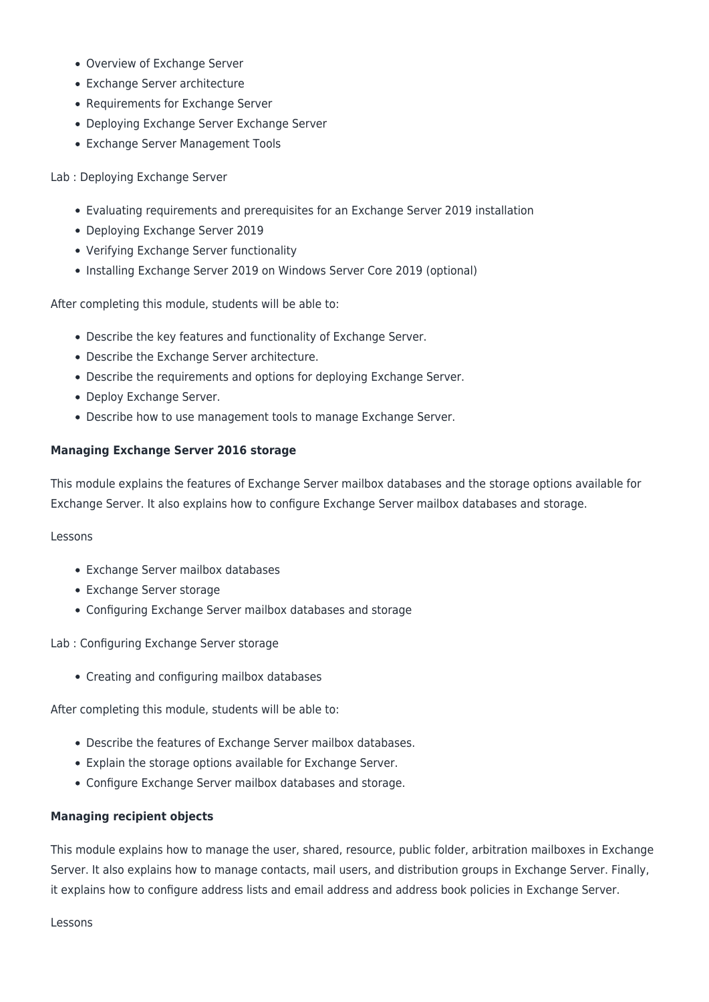- Overview of Exchange Server
- Exchange Server architecture
- Requirements for Exchange Server
- Deploying Exchange Server Exchange Server
- Exchange Server Management Tools

#### Lab : Deploying Exchange Server

- Evaluating requirements and prerequisites for an Exchange Server 2019 installation
- Deploying Exchange Server 2019
- Verifying Exchange Server functionality
- Installing Exchange Server 2019 on Windows Server Core 2019 (optional)

After completing this module, students will be able to:

- Describe the key features and functionality of Exchange Server.
- Describe the Exchange Server architecture.
- Describe the requirements and options for deploying Exchange Server.
- Deploy Exchange Server.
- Describe how to use management tools to manage Exchange Server.

#### **Managing Exchange Server 2016 storage**

This module explains the features of Exchange Server mailbox databases and the storage options available for Exchange Server. It also explains how to configure Exchange Server mailbox databases and storage.

#### Lessons

- Exchange Server mailbox databases
- Exchange Server storage
- Configuring Exchange Server mailbox databases and storage

Lab : Configuring Exchange Server storage

Creating and configuring mailbox databases

After completing this module, students will be able to:

- Describe the features of Exchange Server mailbox databases.
- Explain the storage options available for Exchange Server.
- Configure Exchange Server mailbox databases and storage.

#### **Managing recipient objects**

This module explains how to manage the user, shared, resource, public folder, arbitration mailboxes in Exchange Server. It also explains how to manage contacts, mail users, and distribution groups in Exchange Server. Finally, it explains how to configure address lists and email address and address book policies in Exchange Server.

Lessons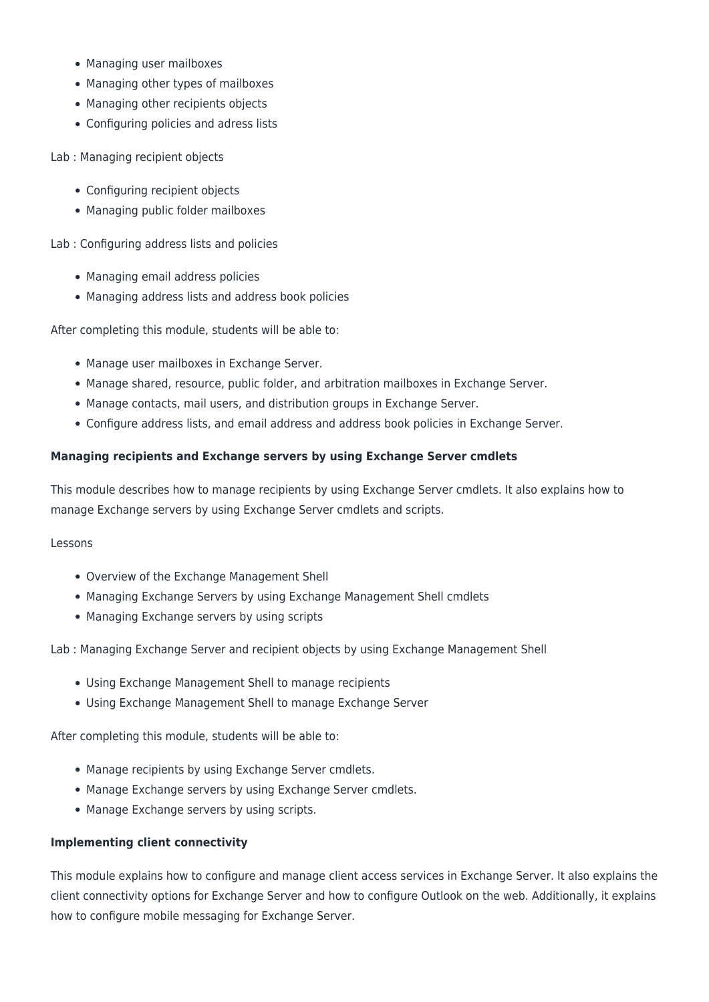- Managing user mailboxes
- Managing other types of mailboxes
- Managing other recipients objects
- Configuring policies and adress lists

Lab : Managing recipient objects

- Configuring recipient objects
- Managing public folder mailboxes

Lab : Configuring address lists and policies

- Managing email address policies
- Managing address lists and address book policies

After completing this module, students will be able to:

- Manage user mailboxes in Exchange Server.
- Manage shared, resource, public folder, and arbitration mailboxes in Exchange Server.
- Manage contacts, mail users, and distribution groups in Exchange Server.
- Configure address lists, and email address and address book policies in Exchange Server.

# **Managing recipients and Exchange servers by using Exchange Server cmdlets**

This module describes how to manage recipients by using Exchange Server cmdlets. It also explains how to manage Exchange servers by using Exchange Server cmdlets and scripts.

Lessons

- Overview of the Exchange Management Shell
- Managing Exchange Servers by using Exchange Management Shell cmdlets
- Managing Exchange servers by using scripts

Lab : Managing Exchange Server and recipient objects by using Exchange Management Shell

- Using Exchange Management Shell to manage recipients
- Using Exchange Management Shell to manage Exchange Server

After completing this module, students will be able to:

- Manage recipients by using Exchange Server cmdlets.
- Manage Exchange servers by using Exchange Server cmdlets.
- Manage Exchange servers by using scripts.

## **Implementing client connectivity**

This module explains how to configure and manage client access services in Exchange Server. It also explains the client connectivity options for Exchange Server and how to configure Outlook on the web. Additionally, it explains how to configure mobile messaging for Exchange Server.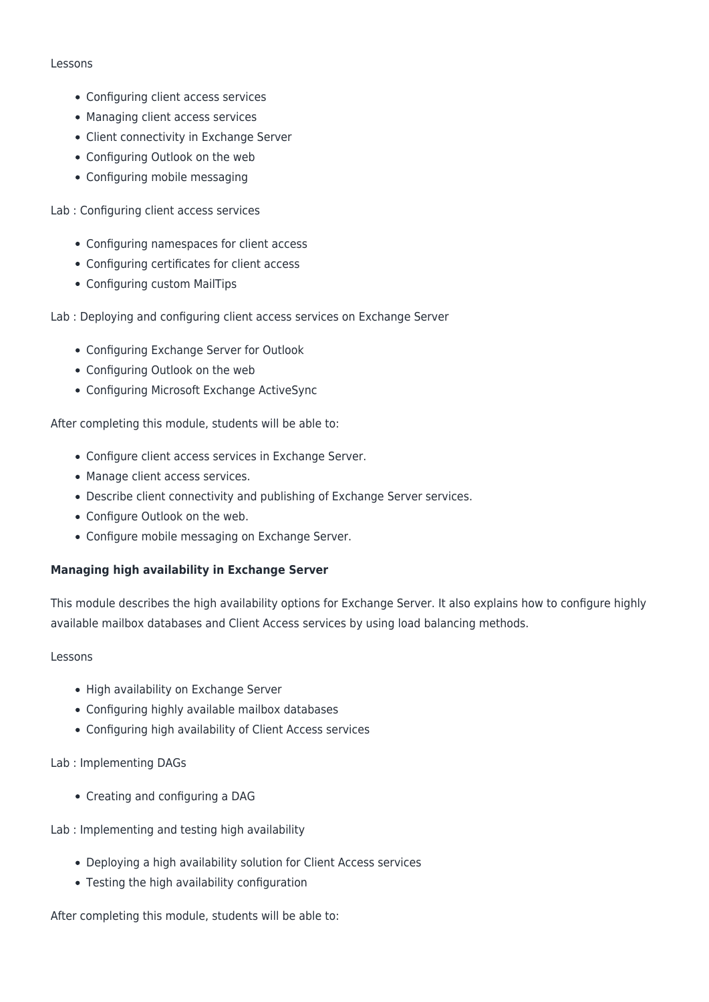#### Lessons

- Configuring client access services
- Managing client access services
- Client connectivity in Exchange Server
- Configuring Outlook on the web
- Configuring mobile messaging

Lab : Configuring client access services

- Configuring namespaces for client access
- Configuring certificates for client access
- Configuring custom MailTips

Lab : Deploying and configuring client access services on Exchange Server

- Configuring Exchange Server for Outlook
- Configuring Outlook on the web
- Configuring Microsoft Exchange ActiveSync

After completing this module, students will be able to:

- Configure client access services in Exchange Server.
- Manage client access services.
- Describe client connectivity and publishing of Exchange Server services.
- Configure Outlook on the web.
- Configure mobile messaging on Exchange Server.

#### **Managing high availability in Exchange Server**

This module describes the high availability options for Exchange Server. It also explains how to configure highly available mailbox databases and Client Access services by using load balancing methods.

#### Lessons

- High availability on Exchange Server
- Configuring highly available mailbox databases
- Configuring high availability of Client Access services

#### Lab : Implementing DAGs

- Creating and configuring a DAG
- Lab : Implementing and testing high availability
	- Deploying a high availability solution for Client Access services
	- Testing the high availability configuration

After completing this module, students will be able to: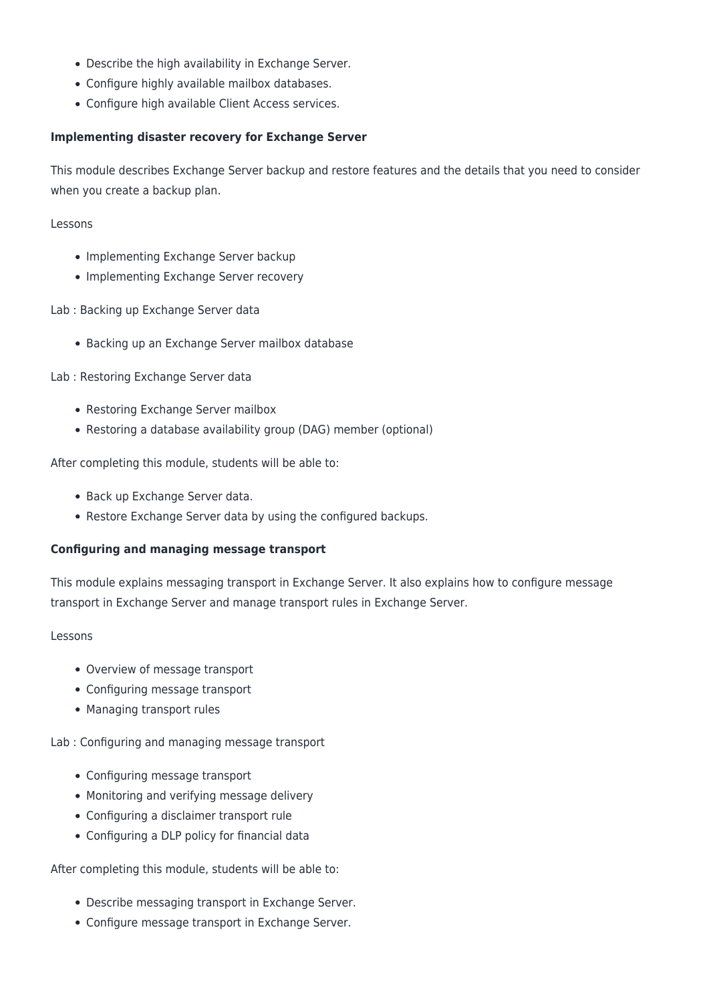- Describe the high availability in Exchange Server.
- Configure highly available mailbox databases.
- Configure high available Client Access services.

## **Implementing disaster recovery for Exchange Server**

This module describes Exchange Server backup and restore features and the details that you need to consider when you create a backup plan.

Lessons

- Implementing Exchange Server backup
- Implementing Exchange Server recovery

Lab : Backing up Exchange Server data

Backing up an Exchange Server mailbox database

Lab : Restoring Exchange Server data

- Restoring Exchange Server mailbox
- Restoring a database availability group (DAG) member (optional)

After completing this module, students will be able to:

- Back up Exchange Server data.
- Restore Exchange Server data by using the configured backups.

#### **Configuring and managing message transport**

This module explains messaging transport in Exchange Server. It also explains how to configure message transport in Exchange Server and manage transport rules in Exchange Server.

#### Lessons

- Overview of message transport
- Configuring message transport
- Managing transport rules

Lab : Configuring and managing message transport

- Configuring message transport
- Monitoring and verifying message delivery
- Configuring a disclaimer transport rule
- Configuring a DLP policy for financial data

After completing this module, students will be able to:

- Describe messaging transport in Exchange Server.
- Configure message transport in Exchange Server.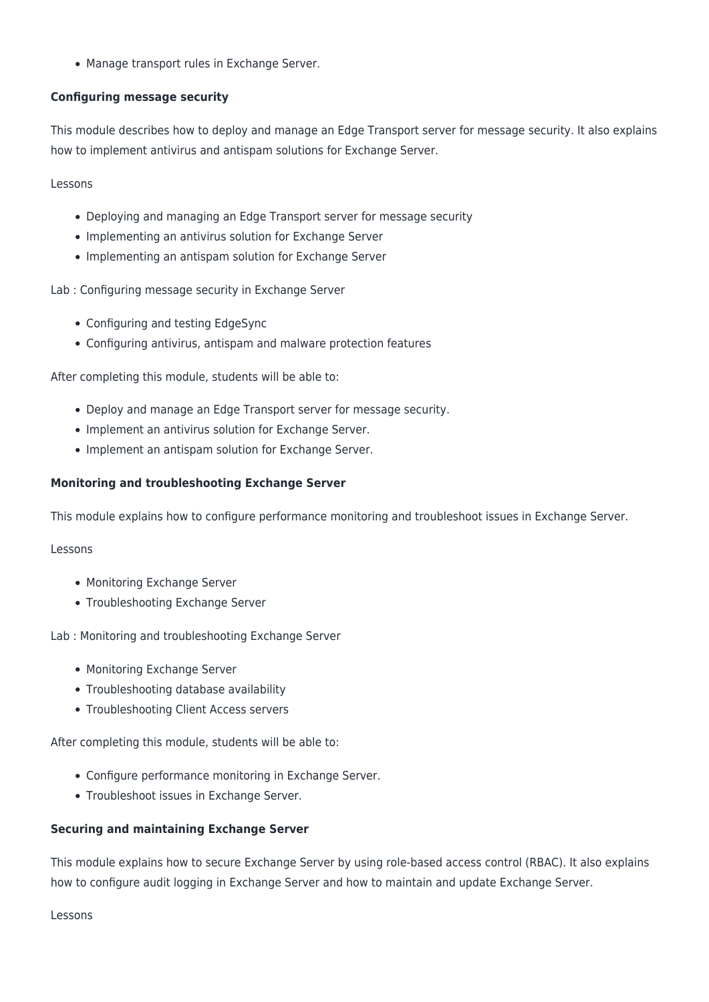Manage transport rules in Exchange Server.

### **Configuring message security**

This module describes how to deploy and manage an Edge Transport server for message security. It also explains how to implement antivirus and antispam solutions for Exchange Server.

Lessons

- Deploying and managing an Edge Transport server for message security
- Implementing an antivirus solution for Exchange Server
- Implementing an antispam solution for Exchange Server

Lab : Configuring message security in Exchange Server

- Configuring and testing EdgeSync
- Configuring antivirus, antispam and malware protection features

After completing this module, students will be able to:

- Deploy and manage an Edge Transport server for message security.
- Implement an antivirus solution for Exchange Server.
- Implement an antispam solution for Exchange Server.

#### **Monitoring and troubleshooting Exchange Server**

This module explains how to configure performance monitoring and troubleshoot issues in Exchange Server.

#### Lessons

- Monitoring Exchange Server
- Troubleshooting Exchange Server

Lab : Monitoring and troubleshooting Exchange Server

- Monitoring Exchange Server
- Troubleshooting database availability
- Troubleshooting Client Access servers

After completing this module, students will be able to:

- Configure performance monitoring in Exchange Server.
- Troubleshoot issues in Exchange Server.

#### **Securing and maintaining Exchange Server**

This module explains how to secure Exchange Server by using role-based access control (RBAC). It also explains how to configure audit logging in Exchange Server and how to maintain and update Exchange Server.

Lessons